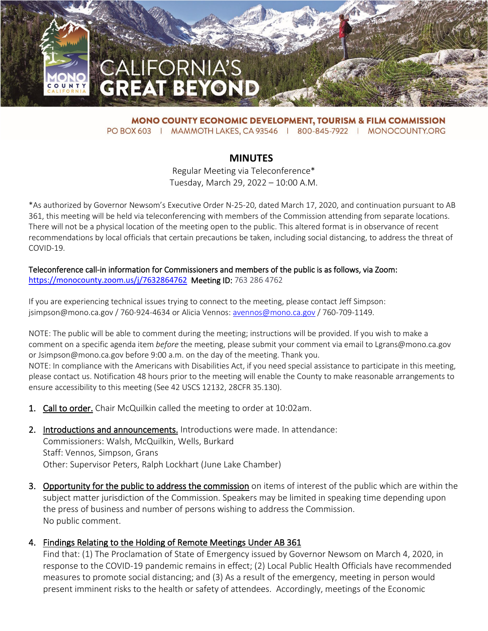

**MONO COUNTY ECONOMIC DEVELOPMENT, TOURISM & FILM COMMISSION** PO BOX 603 | MAMMOTH LAKES, CA 93546 | 800-845-7922 | MONOCOUNTY.ORG

**MINUTES** Regular Meeting via Teleconference\* Tuesday, March 29, 2022 – 10:00 A.M.

\*As authorized by Governor Newsom's Executive Order N-25-20, dated March 17, 2020, and continuation pursuant to AB 361, this meeting will be held via teleconferencing with members of the Commission attending from separate locations. There will not be a physical location of the meeting open to the public. This altered format is in observance of recent recommendations by local officials that certain precautions be taken, including social distancing, to address the threat of COVID-19.

#### Teleconference call-in information for Commissioners and members of the public is as follows, via Zoom: <https://monocounty.zoom.us/j/7632864762>Meeting ID: 763 286 4762

If you are experiencing technical issues trying to connect to the meeting, please contact Jeff Simpson: jsimpson@mono.ca.gov / 760-924-4634 or Alicia Vennos: [avennos@mono.ca.gov](mailto:avennos@mono.ca.gov) / 760-709-1149.

NOTE: The public will be able to comment during the meeting; instructions will be provided. If you wish to make a comment on a specific agenda item *before* the meeting, please submit your comment via email to Lgrans@mono.ca.gov or Jsimpson@mono.ca.gov before 9:00 a.m. on the day of the meeting. Thank you.

NOTE: In compliance with the Americans with Disabilities Act, if you need special assistance to participate in this meeting, please contact us. Notification 48 hours prior to the meeting will enable the County to make reasonable arrangements to ensure accessibility to this meeting (See 42 USCS 12132, 28CFR 35.130).

- 1. Call to order. Chair McQuilkin called the meeting to order at 10:02am.
- 2. Introductions and announcements. Introductions were made. In attendance: Commissioners: Walsh, McQuilkin, Wells, Burkard Staff: Vennos, Simpson, Grans Other: Supervisor Peters, Ralph Lockhart (June Lake Chamber)
- 3. Opportunity for the public to address the commission on items of interest of the public which are within the subject matter jurisdiction of the Commission. Speakers may be limited in speaking time depending upon the press of business and number of persons wishing to address the Commission. No public comment.

#### 4. Findings Relating to the Holding of Remote Meetings Under AB 361

Find that: (1) The Proclamation of State of Emergency issued by Governor Newsom on March 4, 2020, in response to the COVID-19 pandemic remains in effect; (2) Local Public Health Officials have recommended measures to promote social distancing; and (3) As a result of the emergency, meeting in person would present imminent risks to the health or safety of attendees. Accordingly, meetings of the Economic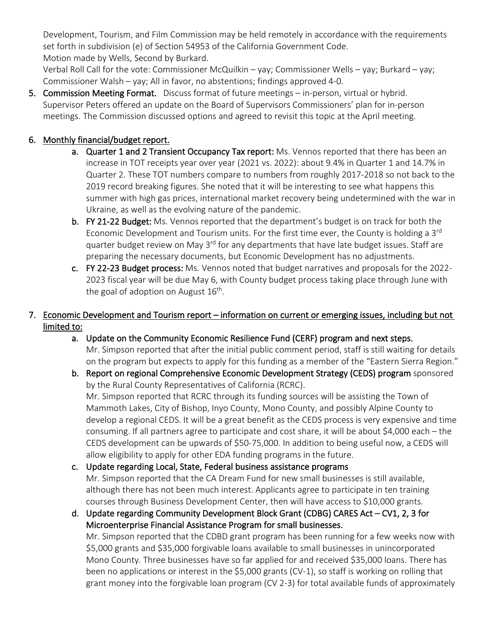Development, Tourism, and Film Commission may be held remotely in accordance with the requirements set forth in subdivision (e) of Section 54953 of the California Government Code. Motion made by Wells, Second by Burkard.

Verbal Roll Call for the vote: Commissioner McQuilkin – yay; Commissioner Wells – yay; Burkard – yay; Commissioner Walsh – yay; All in favor, no abstentions; findings approved 4-0.

5. Commission Meeting Format. Discuss format of future meetings – in-person, virtual or hybrid. Supervisor Peters offered an update on the Board of Supervisors Commissioners' plan for in-person meetings. The Commission discussed options and agreed to revisit this topic at the April meeting.

## 6. Monthly financial/budget report.

- a. Quarter 1 and 2 Transient Occupancy Tax report: Ms. Vennos reported that there has been an increase in TOT receipts year over year (2021 vs. 2022): about 9.4% in Quarter 1 and 14.7% in Quarter 2. These TOT numbers compare to numbers from roughly 2017-2018 so not back to the 2019 record breaking figures. She noted that it will be interesting to see what happens this summer with high gas prices, international market recovery being undetermined with the war in Ukraine, as well as the evolving nature of the pandemic.
- b. FY 21-22 Budget: Ms. Vennos reported that the department's budget is on track for both the Economic Development and Tourism units. For the first time ever, the County is holding a 3<sup>rd</sup> quarter budget review on May 3<sup>rd</sup> for any departments that have late budget issues. Staff are preparing the necessary documents, but Economic Development has no adjustments.
- c. FY 22-23 Budget process: Ms. Vennos noted that budget narratives and proposals for the 2022- 2023 fiscal year will be due May 6, with County budget process taking place through June with the goal of adoption on August  $16<sup>th</sup>$ .

### 7. Economic Development and Tourism report – information on current or emerging issues, including but not limited to:

- a. Update on the Community Economic Resilience Fund (CERF) program and next steps. Mr. Simpson reported that after the initial public comment period, staff is still waiting for details on the program but expects to apply for this funding as a member of the "Eastern Sierra Region."
- b. Report on regional Comprehensive Economic Development Strategy (CEDS) program sponsored by the Rural County Representatives of California (RCRC). Mr. Simpson reported that RCRC through its funding sources will be assisting the Town of Mammoth Lakes, City of Bishop, Inyo County, Mono County, and possibly Alpine County to develop a regional CEDS. It will be a great benefit as the CEDS process is very expensive and time consuming. If all partners agree to participate and cost share, it will be about \$4,000 each – the CEDS development can be upwards of \$50-75,000. In addition to being useful now, a CEDS will allow eligibility to apply for other EDA funding programs in the future.

# c. Update regarding Local, State, Federal business assistance programs

Mr. Simpson reported that the CA Dream Fund for new small businesses is still available, although there has not been much interest. Applicants agree to participate in ten training courses through Business Development Center, then will have access to \$10,000 grants.

d. Update regarding Community Development Block Grant (CDBG) CARES Act – CV1, 2, 3 for Microenterprise Financial Assistance Program for small businesses.

Mr. Simpson reported that the CDBD grant program has been running for a few weeks now with \$5,000 grants and \$35,000 forgivable loans available to small businesses in unincorporated Mono County. Three businesses have so far applied for and received \$35,000 loans. There has been no applications or interest in the \$5,000 grants (CV-1), so staff is working on rolling that grant money into the forgivable loan program (CV 2-3) for total available funds of approximately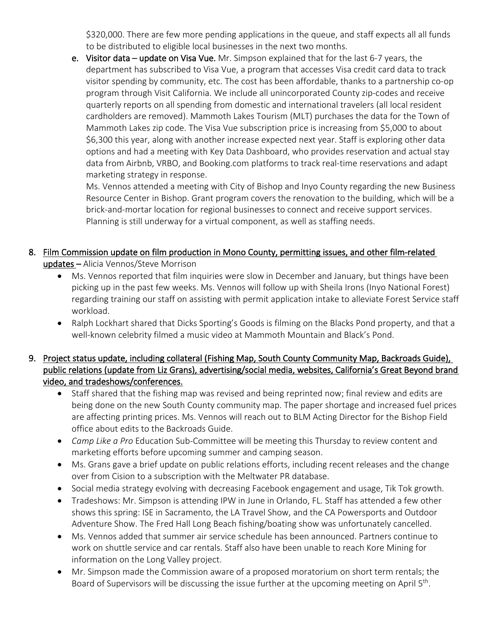\$320,000. There are few more pending applications in the queue, and staff expects all all funds to be distributed to eligible local businesses in the next two months.

e. Visitor data – update on Visa Vue. Mr. Simpson explained that for the last 6-7 years, the department has subscribed to Visa Vue, a program that accesses Visa credit card data to track visitor spending by community, etc. The cost has been affordable, thanks to a partnership co-op program through Visit California. We include all unincorporated County zip-codes and receive quarterly reports on all spending from domestic and international travelers (all local resident cardholders are removed). Mammoth Lakes Tourism (MLT) purchases the data for the Town of Mammoth Lakes zip code. The Visa Vue subscription price is increasing from \$5,000 to about \$6,300 this year, along with another increase expected next year. Staff is exploring other data options and had a meeting with Key Data Dashboard, who provides reservation and actual stay data from Airbnb, VRBO, and Booking.com platforms to track real-time reservations and adapt marketing strategy in response.

Ms. Vennos attended a meeting with City of Bishop and Inyo County regarding the new Business Resource Center in Bishop. Grant program covers the renovation to the building, which will be a brick-and-mortar location for regional businesses to connect and receive support services. Planning is still underway for a virtual component, as well as staffing needs.

## 8. Film Commission update on film production in Mono County, permitting issues, and other film-related updates – Alicia Vennos/Steve Morrison

- Ms. Vennos reported that film inquiries were slow in December and January, but things have been picking up in the past few weeks. Ms. Vennos will follow up with Sheila Irons (Inyo National Forest) regarding training our staff on assisting with permit application intake to alleviate Forest Service staff workload.
- Ralph Lockhart shared that Dicks Sporting's Goods is filming on the Blacks Pond property, and that a well-known celebrity filmed a music video at Mammoth Mountain and Black's Pond.

#### 9. Project status update, including collateral (Fishing Map, South County Community Map, Backroads Guide), public relations (update from Liz Grans), advertising/social media, websites, California's Great Beyond brand video, and tradeshows/conferences.

- Staff shared that the fishing map was revised and being reprinted now; final review and edits are being done on the new South County community map. The paper shortage and increased fuel prices are affecting printing prices. Ms. Vennos will reach out to BLM Acting Director for the Bishop Field office about edits to the Backroads Guide.
- *Camp Like a Pro* Education Sub-Committee will be meeting this Thursday to review content and marketing efforts before upcoming summer and camping season.
- Ms. Grans gave a brief update on public relations efforts, including recent releases and the change over from Cision to a subscription with the Meltwater PR database.
- Social media strategy evolving with decreasing Facebook engagement and usage, Tik Tok growth.
- Tradeshows: Mr. Simpson is attending IPW in June in Orlando, FL. Staff has attended a few other shows this spring: ISE in Sacramento, the LA Travel Show, and the CA Powersports and Outdoor Adventure Show. The Fred Hall Long Beach fishing/boating show was unfortunately cancelled.
- Ms. Vennos added that summer air service schedule has been announced. Partners continue to work on shuttle service and car rentals. Staff also have been unable to reach Kore Mining for information on the Long Valley project.
- Mr. Simpson made the Commission aware of a proposed moratorium on short term rentals; the Board of Supervisors will be discussing the issue further at the upcoming meeting on April 5<sup>th</sup>.